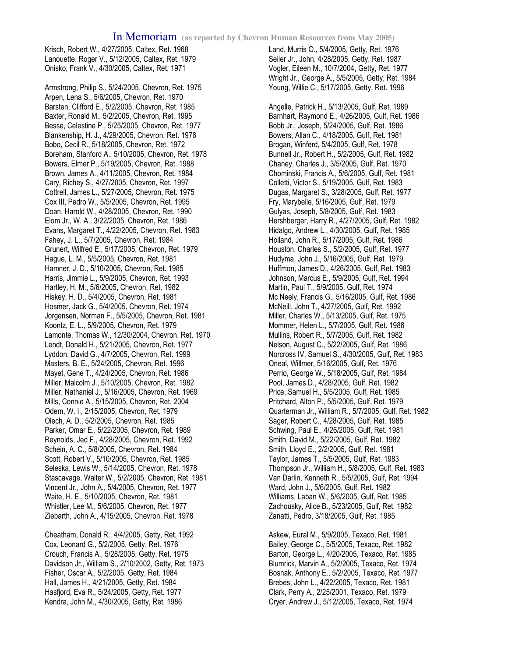Krisch, Robert W., 4/27/2005, Caltex, Ret. 1968 Lanouette, Roger V., 5/12/2005, Caltex, Ret. 1979 Onisko, Frank V., 4/30/2005, Caltex, Ret. 1971

Armstrong, Philip S., 5/24/2005, Chevron, Ret. 1975 Arpen, Lena S., 5/6/2005, Chevron, Ret. 1970 Barsten, Clifford E., 5/2/2005, Chevron, Ret. 1985 Baxter, Ronald M., 5/2/2005, Chevron, Ret. 1995 Besse, Celestine P., 5/25/2005, Chevron, Ret. 1977 Blankenship, H. J., 4/29/2005, Chevron, Ret. 1976 Bobo, Cecil R., 5/18/2005, Chevron, Ret. 1972 Boreham, Stanford A., 5/10/2005, Chevron, Ret. 1978 Bowers, Elmer P., 5/19/2005, Chevron, Ret. 1988 Brown, James A., 4/11/2005, Chevron, Ret. 1984 Cary, Richey S., 4/27/2005, Chevron, Ret. 1997 Cottrell, James L., 5/27/2005, Chevron, Ret. 1975 Cox III, Pedro W., 5/5/2005, Chevron, Ret. 1995 Doan, Harold W., 4/28/2005, Chevron, Ret. 1990 Elom Jr., W. A., 3/22/2005, Chevron, Ret. 1986 Evans, Margaret T., 4/22/2005, Chevron, Ret. 1983 Fahey, J. L., 5/7/2005, Chevron, Ret. 1984 Grunert, Wilfred E., 5/17/2005, Chevron, Ret. 1979 Hague, L. M., 5/5/2005, Chevron, Ret. 1981 Hamner, J. D., 5/10/2005, Chevron, Ret. 1985 Harris, Jimmie L., 5/9/2005, Chevron, Ret. 1993 Hartley, H. M., 5/6/2005, Chevron, Ret. 1982 Hiskey, H. D., 5/4/2005, Chevron, Ret. 1981 Hosmer, Jack G., 5/4/2005, Chevron, Ret. 1974 Jorgensen, Norman F., 5/5/2005, Chevron, Ret. 1981 Koontz, E. L., 5/9/2005, Chevron, Ret. 1979 Lamonte, Thomas W., 12/30/2004, Chevron, Ret. 1970 Lendt, Donald H., 5/21/2005, Chevron, Ret. 1977 Lyddon, David G., 4/7/2005, Chevron, Ret. 1999 Masters, B. E., 5/24/2005, Chevron, Ret. 1996 Mayet, Gene T., 4/24/2005, Chevron, Ret. 1986 Miller, Malcolm J., 5/10/2005, Chevron, Ret. 1982 Miller, Nathaniel J., 5/16/2005, Chevron, Ret. 1969 Mills, Connie A., 5/15/2005, Chevron, Ret. 2004 Odem, W. I., 2/15/2005, Chevron, Ret. 1979 Olech, A. D., 5/2/2005, Chevron, Ret. 1985 Parker, Omar E., 5/22/2005, Chevron, Ret. 1989 Reynolds, Jed F., 4/28/2005, Chevron, Ret. 1992 Schein, A. C., 5/8/2005, Chevron, Ret. 1984 Scott, Robert V., 5/10/2005, Chevron, Ret. 1985 Seleska, Lewis W., 5/14/2005, Chevron, Ret. 1978 Stascavage, Walter W., 5/2/2005, Chevron, Ret. 1981 Vincent Jr., John A., 5/4/2005, Chevron, Ret. 1977 Waite, H. E., 5/10/2005, Chevron, Ret. 1981 Whistler, Lee M., 5/6/2005, Chevron, Ret. 1977 Ziebarth, John A., 4/15/2005, Chevron, Ret. 1978

Cheatham, Donald R., 4/4/2005, Getty, Ret. 1992 Cox, Leonard G., 5/2/2005, Getty, Ret. 1976 Crouch, Francis A., 5/28/2005, Getty, Ret. 1975 Davidson Jr., William S., 2/10/2002, Getty, Ret. 1973 Fisher, Oscar A., 5/2/2005, Getty, Ret. 1984 Hall, James H., 4/21/2005, Getty, Ret. 1984 Hasfjord, Eva R., 5/24/2005, Getty, Ret. 1977 Kendra, John M., 4/30/2005, Getty, Ret. 1986

Land, Murris O., 5/4/2005, Getty, Ret. 1976 Seiler Jr., John, 4/28/2005, Getty, Ret. 1987 Vogler, Eileen M., 10/7/2004, Getty, Ret. 1977 Wright Jr., George A., 5/5/2005, Getty, Ret. 1984 Young, Willie C., 5/17/2005, Getty, Ret. 1996

Angelle, Patrick H., 5/13/2005, Gulf, Ret. 1989 Barnhart, Raymond E., 4/26/2005, Gulf, Ret. 1986 Bobb Jr., Joseph, 5/24/2005, Gulf, Ret. 1986 Bowers, Allan C., 4/18/2005, Gulf, Ret. 1981 Brogan, Winferd, 5/4/2005, Gulf, Ret. 1978 Bunnell Jr., Robert H., 5/2/2005, Gulf, Ret. 1982 Chaney, Charles J., 3/5/2005, Gulf, Ret. 1970 Chominski, Francis A., 5/6/2005, Gulf, Ret. 1981 Colletti, Victor S., 5/19/2005, Gulf, Ret. 1983 Dugas, Margaret S., 3/28/2005, Gulf, Ret. 1977 Fry, Marybelle, 5/16/2005, Gulf, Ret. 1979 Gulyas, Joseph, 5/8/2005, Gulf, Ret. 1983 Hershberger, Harry R., 4/27/2005, Gulf, Ret. 1982 Hidalgo, Andrew L., 4/30/2005, Gulf, Ret. 1985 Holland, John R., 5/17/2005, Gulf, Ret. 1986 Houston, Charles S., 5/2/2005, Gulf, Ret. 1977 Hudyma, John J., 5/16/2005, Gulf, Ret. 1979 Huffmon, James D., 4/26/2005, Gulf, Ret. 1983 Johnson, Marcus E., 5/9/2005, Gulf, Ret. 1994 Martin, Paul T., 5/9/2005, Gulf, Ret. 1974 Mc Neely, Francis G., 5/16/2005, Gulf, Ret. 1986 McNeill, John T., 4/27/2005, Gulf, Ret. 1992 Miller, Charles W., 5/13/2005, Gulf, Ret. 1975 Mommer, Helen L., 5/7/2005, Gulf, Ret. 1986 Mullins, Robert R., 5/7/2005, Gulf, Ret. 1982 Nelson, August C., 5/22/2005, Gulf, Ret. 1986 Norcross IV, Samuel S., 4/30/2005, Gulf, Ret. 1983 Oneal, Willmer, 5/16/2005, Gulf, Ret. 1976 Perrio, George W., 5/18/2005, Gulf, Ret. 1984 Pool, James D., 4/28/2005, Gulf, Ret. 1982 Price, Samuel H., 5/5/2005, Gulf, Ret. 1985 Pritchard, Alton P., 5/5/2005, Gulf, Ret. 1979 Quarterman Jr., William R., 5/7/2005, Gulf, Ret. 1982 Sager, Robert C., 4/28/2005, Gulf, Ret. 1985 Schwing, Paul E., 4/26/2005, Gulf, Ret. 1981 Smith, David M., 5/22/2005, Gulf, Ret. 1982 Smith, Lloyd E., 2/2/2005, Gulf, Ret. 1981 Taylor, James T., 5/5/2005, Gulf, Ret. 1983 Thompson Jr., William H., 5/8/2005, Gulf, Ret. 1983 Van Darlin, Kenneth R., 5/5/2005, Gulf, Ret. 1994 Ward, John J., 5/6/2005, Gulf, Ret. 1982 Williams, Laban W., 5/6/2005, Gulf, Ret. 1985 Zachousky, Alice B., 5/23/2005, Gulf, Ret. 1982 Zanatti, Pedro, 3/18/2005, Gulf, Ret. 1985

Askew, Eural M., 5/9/2005, Texaco, Ret. 1981 Bailey, George C., 5/5/2005, Texaco, Ret. 1982 Barton, George L., 4/20/2005, Texaco, Ret. 1985 Blumrick, Marvin A., 5/2/2005, Texaco, Ret. 1974 Bosnak, Anthony E., 5/2/2005, Texaco, Ret. 1977 Brebes, John L., 4/22/2005, Texaco, Ret. 1981 Clark, Perry A., 2/25/2001, Texaco, Ret. 1979 Cryer, Andrew J., 5/12/2005, Texaco, Ret. 1974